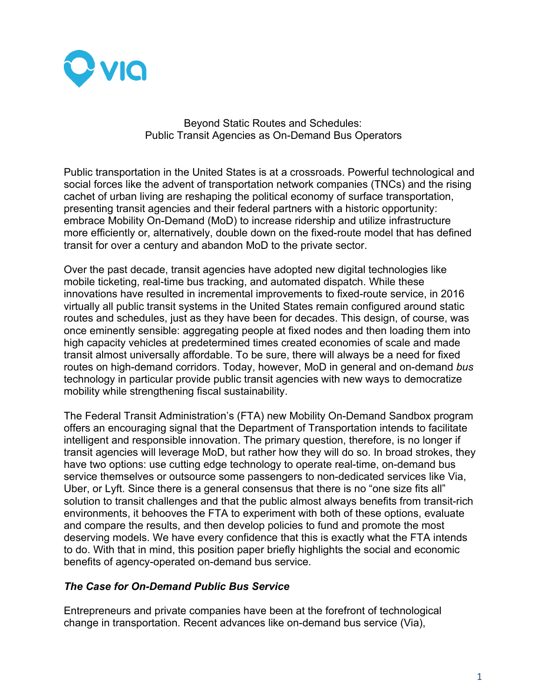

 Beyond Static Routes and Schedules: Public Transit Agencies as On-Demand Bus Operators

Public transportation in the United States is at a crossroads. Powerful technological and social forces like the advent of transportation network companies (TNCs) and the rising cachet of urban living are reshaping the political economy of surface transportation, presenting transit agencies and their federal partners with a historic opportunity: embrace Mobility On-Demand (MoD) to increase ridership and utilize infrastructure more efficiently or, alternatively, double down on the fixed-route model that has defined transit for over a century and abandon MoD to the private sector.

Over the past decade, transit agencies have adopted new digital technologies like mobile ticketing, real-time bus tracking, and automated dispatch. While these innovations have resulted in incremental improvements to fixed-route service, in 2016 virtually all public transit systems in the United States remain configured around static routes and schedules, just as they have been for decades. This design, of course, was once eminently sensible: aggregating people at fixed nodes and then loading them into high capacity vehicles at predetermined times created economies of scale and made transit almost universally affordable. To be sure, there will always be a need for fixed routes on high-demand corridors. Today, however, MoD in general and on-demand *bus*  technology in particular provide public transit agencies with new ways to democratize mobility while strengthening fiscal sustainability.

The Federal Transit Administration's (FTA) new Mobility On-Demand Sandbox program offers an encouraging signal that the Department of Transportation intends to facilitate intelligent and responsible innovation. The primary question, therefore, is no longer if transit agencies will leverage MoD, but rather how they will do so. In broad strokes, they have two options: use cutting edge technology to operate real-time, on-demand bus service themselves or outsource some passengers to non-dedicated services like Via, Uber, or Lyft. Since there is a general consensus that there is no "one size fits all" solution to transit challenges and that the public almost always benefits from transit-rich environments, it behooves the FTA to experiment with both of these options, evaluate and compare the results, and then develop policies to fund and promote the most deserving models. We have every confidence that this is exactly what the FTA intends to do. With that in mind, this position paper briefly highlights the social and economic benefits of agency-operated on-demand bus service.

## *The Case for On-Demand Public Bus Service*

Entrepreneurs and private companies have been at the forefront of technological change in transportation. Recent advances like on-demand bus service (Via),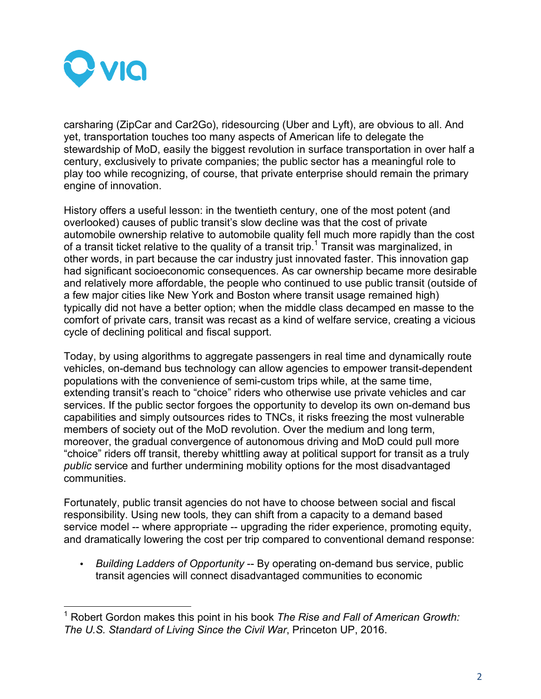

carsharing (ZipCar and Car2Go), ridesourcing (Uber and Lyft), are obvious to all. And yet, transportation touches too many aspects of American life to delegate the stewardship of MoD, easily the biggest revolution in surface transportation in over half a century, exclusively to private companies; the public sector has a meaningful role to play too while recognizing, of course, that private enterprise should remain the primary engine of innovation.

History offers a useful lesson: in the twentieth century, one of the most potent (and overlooked) causes of public transit's slow decline was that the cost of private automobile ownership relative to automobile quality fell much more rapidly than the cost of a transit ticket relative to the quality of a transit trip.<sup>1</sup> Transit was marginalized, in other words, in part because the car industry just innovated faster. This innovation gap had significant socioeconomic consequences. As car ownership became more desirable and relatively more affordable, the people who continued to use public transit (outside of a few major cities like New York and Boston where transit usage remained high) typically did not have a better option; when the middle class decamped en masse to the comfort of private cars, transit was recast as a kind of welfare service, creating a vicious cycle of declining political and fiscal support.

Today, by using algorithms to aggregate passengers in real time and dynamically route vehicles, on-demand bus technology can allow agencies to empower transit-dependent populations with the convenience of semi-custom trips while, at the same time, extending transit's reach to "choice" riders who otherwise use private vehicles and car services. If the public sector forgoes the opportunity to develop its own on-demand bus capabilities and simply outsources rides to TNCs, it risks freezing the most vulnerable members of society out of the MoD revolution. Over the medium and long term, moreover, the gradual convergence of autonomous driving and MoD could pull more "choice" riders off transit, thereby whittling away at political support for transit as a truly *public* service and further undermining mobility options for the most disadvantaged communities.

Fortunately, public transit agencies do not have to choose between social and fiscal responsibility. Using new tools*,* they can shift from a capacity to a demand based service model -- where appropriate -- upgrading the rider experience, promoting equity, and dramatically lowering the cost per trip compared to conventional demand response:

• *Building Ladders of Opportunity* -- By operating on-demand bus service, public transit agencies will connect disadvantaged communities to economic

 <sup>1</sup> Robert Gordon makes this point in his book *The Rise and Fall of American Growth: The U.S. Standard of Living Since the Civil War*, Princeton UP, 2016.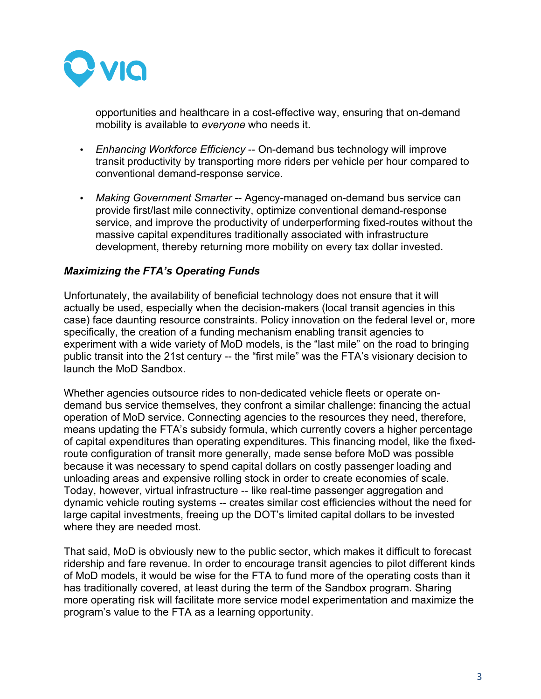

opportunities and healthcare in a cost-effective way, ensuring that on-demand mobility is available to *everyone* who needs it.

- *Enhancing Workforce Efficiency* -- On-demand bus technology will improve transit productivity by transporting more riders per vehicle per hour compared to conventional demand-response service.
- *Making Government Smarter* -- Agency-managed on-demand bus service can provide first/last mile connectivity, optimize conventional demand-response service, and improve the productivity of underperforming fixed-routes without the massive capital expenditures traditionally associated with infrastructure development, thereby returning more mobility on every tax dollar invested.

## *Maximizing the FTA's Operating Funds*

Unfortunately, the availability of beneficial technology does not ensure that it will actually be used, especially when the decision-makers (local transit agencies in this case) face daunting resource constraints. Policy innovation on the federal level or, more specifically, the creation of a funding mechanism enabling transit agencies to experiment with a wide variety of MoD models, is the "last mile" on the road to bringing public transit into the 21st century -- the "first mile" was the FTA's visionary decision to launch the MoD Sandbox.

Whether agencies outsource rides to non-dedicated vehicle fleets or operate ondemand bus service themselves, they confront a similar challenge: financing the actual operation of MoD service. Connecting agencies to the resources they need, therefore, means updating the FTA's subsidy formula, which currently covers a higher percentage of capital expenditures than operating expenditures. This financing model, like the fixedroute configuration of transit more generally, made sense before MoD was possible because it was necessary to spend capital dollars on costly passenger loading and unloading areas and expensive rolling stock in order to create economies of scale. Today, however, virtual infrastructure -- like real-time passenger aggregation and dynamic vehicle routing systems -- creates similar cost efficiencies without the need for large capital investments, freeing up the DOT's limited capital dollars to be invested where they are needed most.

That said, MoD is obviously new to the public sector, which makes it difficult to forecast ridership and fare revenue. In order to encourage transit agencies to pilot different kinds of MoD models, it would be wise for the FTA to fund more of the operating costs than it has traditionally covered, at least during the term of the Sandbox program. Sharing more operating risk will facilitate more service model experimentation and maximize the program's value to the FTA as a learning opportunity.